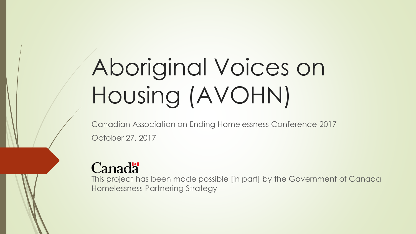# Aboriginal Voices on Housing (AVOHN)

Canadian Association on Ending Homelessness Conference 2017 October 27, 2017

#### **Canadä**

This project has been made possible [in part] by the Government of Canada Homelessness Partnering Strategy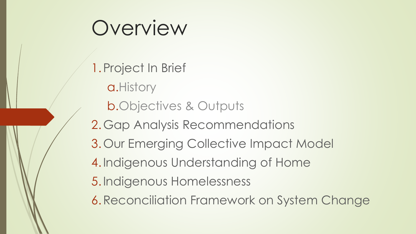### Overview

1.Project In Brief a.History b.Objectives & Outputs 2.Gap Analysis Recommendations 3.Our Emerging Collective Impact Model 4.Indigenous Understanding of Home 5.Indigenous Homelessness 6.Reconciliation Framework on System Change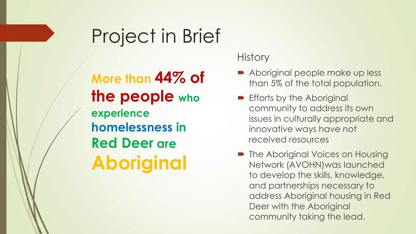#### Project in Brief

**More than 44% of the people who experience homelessness in Red Deer are Aboriginal**

#### **History**

- Aboriginal people make up less than 5% of the total population.
- **Efforts by the Aboriginal** community to address its own issues in culturally appropriate and innovative ways have not received resources
- The Aboriginal Voices on Housing Network (AVOHN)was launched to develop the skills, knowledge, and partnerships necessary to address Aboriginal housing in Red Deer with the Aboriginal community taking the lead.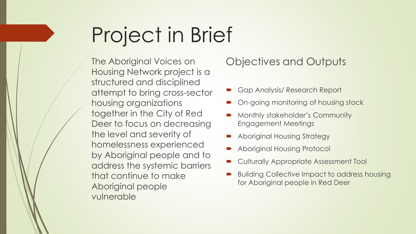# Project in Brief

The Aboriginal Voices on Housing Network project is a structured and disciplined attempt to bring cross-sector housing organizations together in the City of Red Deer to focus on decreasing the level and severity of homelessness experienced by Aboriginal people and to address the systemic barriers that continue to make Aboriginal people vulnerable

Objectives and Outputs

- Gap Analysis/ Research Report
- On-going monitoring of housing stock
- Monthly stakeholder's Community Engagement Meetings
- Aboriginal Housing Strategy
- Aboriginal Housing Protocol
- Culturally Appropriate Assessment Tool
- Building Collective Impact to address housing for Aboriginal people in Red Deer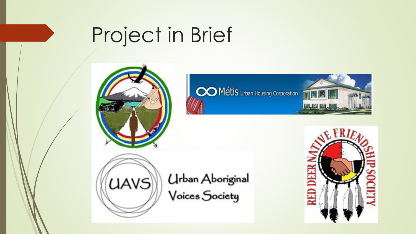## Project in Brief







Urban Aboriginal<br>Voices Society

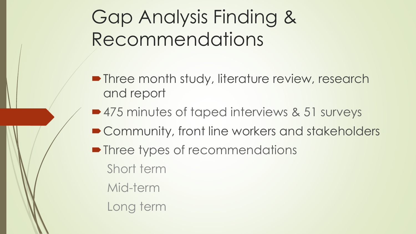Gap Analysis Finding & Recommendations

- **Three month study, literature review, research** and report
- 475 minutes of taped interviews & 51 surveys
- Community, front line workers and stakeholders
- Three types of recommendations Short term
	- Mid-term
	- Long term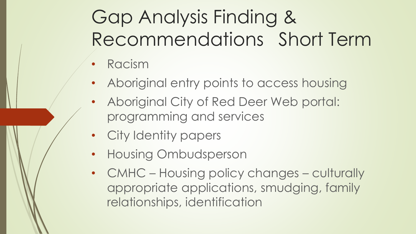### Gap Analysis Finding & Recommendations Short Term

- Racism
- Aboriginal entry points to access housing
- Aboriginal City of Red Deer Web portal: programming and services
- City Identity papers
- Housing Ombudsperson
- CMHC Housing policy changes culturally appropriate applications, smudging, family relationships, identification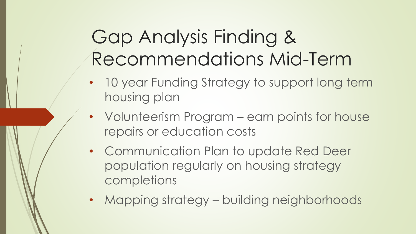#### Gap Analysis Finding & Recommendations Mid-Term

- 10 year Funding Strategy to support long term housing plan
- Volunteerism Program earn points for house repairs or education costs
- Communication Plan to update Red Deer population regularly on housing strategy completions
- Mapping strategy building neighborhoods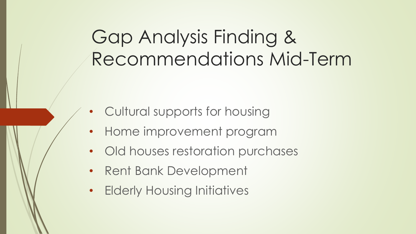#### Gap Analysis Finding & Recommendations Mid-Term

- Cultural supports for housing
- Home improvement program
- Old houses restoration purchases
- Rent Bank Development
- Elderly Housing Initiatives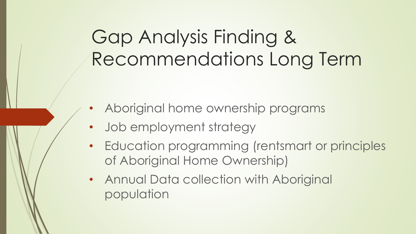### Gap Analysis Finding & Recommendations Long Term

- Aboriginal home ownership programs
- Job employment strategy
- Education programming (rentsmart or principles of Aboriginal Home Ownership)
- Annual Data collection with Aboriginal population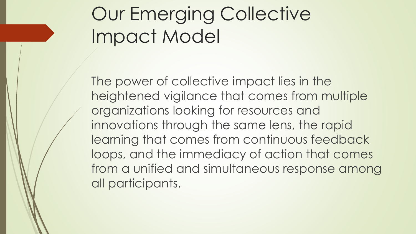### Our Emerging Collective Impact Model

The power of collective impact lies in the heightened vigilance that comes from multiple organizations looking for resources and innovations through the same lens, the rapid learning that comes from continuous feedback loops, and the immediacy of action that comes from a unified and simultaneous response among all participants.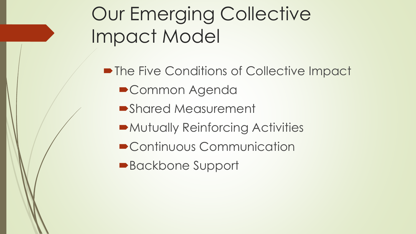### Our Emerging Collective Impact Model

• The Five Conditions of Collective Impact ■ Common Agenda Shared Measurement Mutually Reinforcing Activities ■ Continuous Communication ■Backbone Support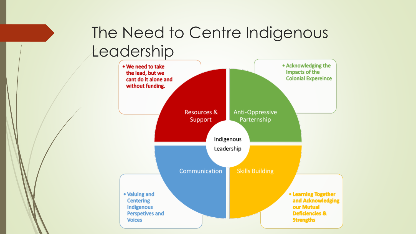#### The Need to Centre Indigenous Leadership

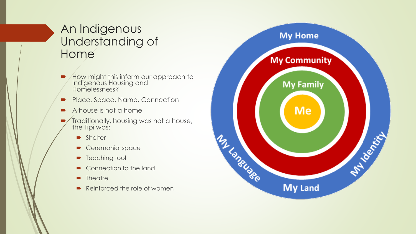#### An Indigenous Understanding of Home

- Alow might this inform our approach to Indigenous Housing and Homelessness?
- Place, Space, Name, Connection
- $\blacktriangleright$  A house is not a home
- Traditionally, housing was not a house, the Tipi was:
	- **Shelter**
	- Ceremonial space
	- **P** Teaching tool
	- Connection to the land
	- **Theatre**
	- Reinforced the role of women

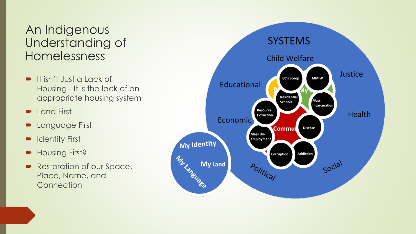#### An Indigenous Understanding of Homelessness

- **It isn't Just a Lack of** Housing - It is the lack of an appropriate housing system
- Land First
- Language First
- Identity First
- Housing First?
- Restoration of our Space, Place, Name, and **Connection**